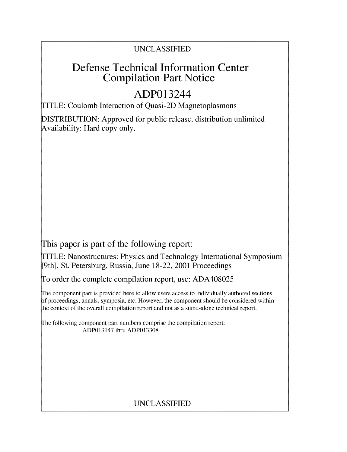## **UNCLASSIFIED**

## Defense Technical Information Center Compilation Part Notice

# ADP013244

TITLE: Coulomb Interaction of Quasi-21) Magnetoplasmons

**DISTRIBUTION:** Approved for public release, distribution unlimited Availability: Hard copy only.

This paper is part of the following report:

TITLE: Nanostructures: Physics and Technology International Symposium [9th], St. Petersburg, Russia, June **18-22,** 2001 Proceedings

To order the complete compilation report, use: **ADA408025**

The component part is provided here to allow users access to individually authored sections **A** proceedings, annals, symposia, etc. However, the component should be considered within the context of the overall compilation report and not as a stand-alone technical report.

The following component part numbers comprise the compilation report: ADP013147 thru **ADP013308**

### **UNCLASSIFIED**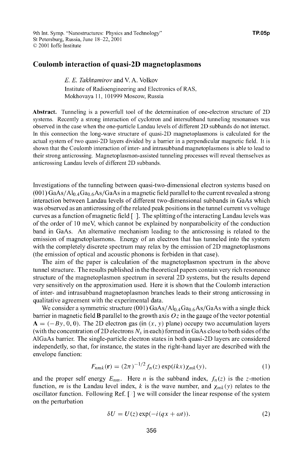### Coulomb interaction of quasi-2D magnetoplasmons

*E. E. Takhtamirov* and V. A. Volkov Institute of Radioengineering and Electronics of RAS, Mokhovaya 11, 101999 Moscow, Russia

Abstract. Tunneling is a powerfull tool of the determination of one-electron structure of 2D systems. Recently a strong interaction of cyclotron and intersubband tunneling resonanses was observed in the case when the one-particle Landau levels of different 2D subbands do not interact. In this connection the long-wave structure of quasi-2D magnetoplasmons is calculated for the actual system of two quasi-2D layers divided by a barrier in a perpendicular magnetic field. It is shown that the Coulomb interaction of inter- and intrasubband magnetoplasmons is able to lead to their strong anticrossing. Magnetoplasmon-assisted tunneling processes will reveal themselves as anticrossing Landau levels of different 2D subbands.

Investigations of the tunneling between quasi-two-dimensional electron systems based on  $(001)$  GaAs/Al<sub>0</sub>  $_4$ Ga<sub>0.6</sub>As/GaAs in a magnetic field parallel to the current revealed a strong interaction between Landau levels of different two-dimensional subbands in GaAs which was observed as an anticrossing of the related peak positions in the tunnel current vs voltage curves as a function of magnetic field **[ ].** The splitting of the interacting Landau levels was of the order of 10 meV, which cannot be explained by nonparabolicity of the conduction band in GaAs. An alternative mechanism leading to the anticrossing is related to the emission of magnetoplasmons. Energy of an electron that has tunneled into the system with the completely discrete spectrum may relax by the emission of 2D magnetoplasmons (the emission of optical and acoustic phonons is forbiden in that case).

The aim of the paper is calculation of the magnetoplasmon spectrum in the above tunnel structure. The results published in the theoretical papers contain very rich resonance structure of the magnetoplasmon spectrum in several 2D systems, but the results depend very sensitively on the approximation used. Here it is shown that the Coulomb interaction of inter- and intrasubband magnetoplasmon branches leads to their strong anticrossing in qualitative agreement with the experimental data.

We consider a symmetric structure  $(001)$  GaAs/Al<sub>0.4</sub>Ga<sub>0.6</sub>As/GaAs with a single thick barrier in magnetic field **B** parallel to the growth axis  $Oz$  in the gauge of the vector potential  $A = (-By, 0, 0)$ . The 2D electron gas (in  $(x, y)$  plane) occupy two accumulation layers (with the concentration of 2D electrons  $N_s$  in each) formed in GaAs close to both sides of the AlGaAs barrier. The single-particle electron states in both quasi-2D layers are considered independetly, so that, for instance, the states in the right-hand layer are described with the envelope function:

$$
F_{nmk}(\mathbf{r}) = (2\pi)^{-1/2} f_n(z) \exp(ikx) \chi_{mk}(y), \tag{1}
$$

and the proper self energy  $E_{nm}$ . Here *n* is the subband index,  $f_n(z)$  is the *z*-motion function, *m* is the Landau level index, *k* is the wave number, and  $\chi_{mk}(y)$  relates to the oscillator function. Following Ref.  $[2]$  we will consider the linear response of the system on the perturbation

$$
\delta U = U(z) \exp(-i(qx + \omega t)).
$$
 (2)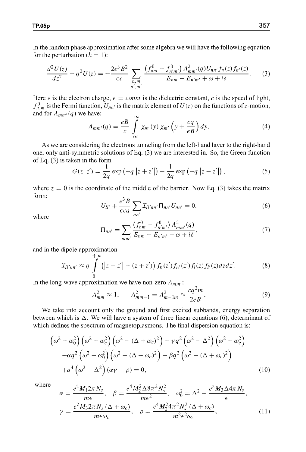In the random phase approximation after some algebra we will have the following equation for the perturbation ( $\hbar = 1$ ):

$$
\frac{d^2U(z)}{dz^2} - q^2U(z) = -\frac{2e^3B^2}{\epsilon c} \sum_{\substack{n,m\\n',m'}} \frac{\left(f_{nm}^0 - f_{n'm'}^0\right)A_{mm'}^2(q)U_{nn'}f_n(z)f_{n'}(z)}{E_{nm} - E_{n'm'} + \omega + i\delta}.
$$
 (3)

Here e is the electron charge,  $\epsilon = const$  is the dielectric constant, c is the speed of light,  $f_{n,m}^0$  is the Fermi function,  $U_{nn'}$  is the matrix element of  $U(z)$  on the functions of z-motion, and for  $A_{mm'}(q)$  we have:

$$
A_{mm'}(q) = \frac{e}{c} \int_{-\infty}^{\infty} \chi_m(y) \,\chi_{m'}\left(y + \frac{cq}{eB}\right) dy. \tag{4}
$$

As we are considering the electrons tunneling from the left-hand layer to the right-hand one, only anti-symmetric solutions of Eq. (3) we are interested in. So, the Green function of Eq.  $(3)$  is taken in the form

$$
G(z, z') = \frac{1}{2q} \exp(-q |z + z'|) - \frac{1}{2q} \exp(-q |z - z'|),
$$
 (5)

where  $z = 0$  is the coordinate of the middle of the barrier. Now Eq. (3) takes the matrix form:

$$
U_{ll'} + \frac{e^3 B}{\epsilon c q} \sum_{nn'} \mathcal{I}_{ll'nn'} \Pi_{nn'} U_{nn'} = 0.
$$
 (6)

where

$$
\Pi_{nn'} = \sum_{mm'} \frac{\left(f_{nm}^0 - f_{n'm'}^0\right) A_{mm'}^2(q)}{E_{nm} - E_{n'm'} + \omega + i\delta},\tag{7}
$$

and in the dipole approximation

$$
\mathcal{I}_{ll'nn'} \approx q \int_{0}^{+\infty} (|z-z'| - (z+z')) f_n(z') f_{n'}(z') f_l(z) f_{l'}(z) dz dz'.
$$
 (8)

In the long-wave approximation we have non-zero  $A_{mm'}$ :

$$
A_{mm}^2 \approx 1; \qquad A_{mm-1}^2 = A_{m-1m}^2 \approx \frac{cq^2m}{2eB}.
$$
 (9)

We take into account only the ground and first excited subbands, energy separation between which is  $\Delta$ . We will have a system of three linear equations (6), determinant of which defines the spectrum of magnetoplasmons. The final dispersion equation is:

$$
\left(\omega^2 - \omega_0^2\right) \left(\omega^2 - \omega_c^2\right) \left(\omega^2 - (\Delta + \omega_c)^2\right) - \gamma q^2 \left(\omega^2 - \Delta^2\right) \left(\omega^2 - \omega_c^2\right) \n- \alpha q^2 \left(\omega^2 - \omega_0^2\right) \left(\omega^2 - (\Delta + \omega_c)^2\right) - \beta q^2 \left(\omega^2 - (\Delta + \omega_c)^2\right) \n+ q^4 \left(\omega^2 - \Delta^2\right) (\alpha \gamma - \rho) = 0,
$$
\n(10)

where  
\n
$$
\alpha = \frac{e^2 M_1 2\pi N_s}{m\epsilon}, \quad \beta = \frac{e^4 M_2^2 \Delta 8\pi^2 N_s^2}{m\epsilon^2}, \quad \omega_0^2 = \Delta^2 + \frac{e^2 M_3 \Delta 4\pi N_s}{\epsilon},
$$
\n
$$
\gamma = \frac{e^2 M_3 2\pi N_s (\Delta + \omega_c)}{m\epsilon \omega_c}, \quad \rho = \frac{e^4 M_2^2 4\pi^2 N_s^2 (\Delta + \omega_c)}{m^2 \epsilon^2 \omega_c}, \tag{11}
$$